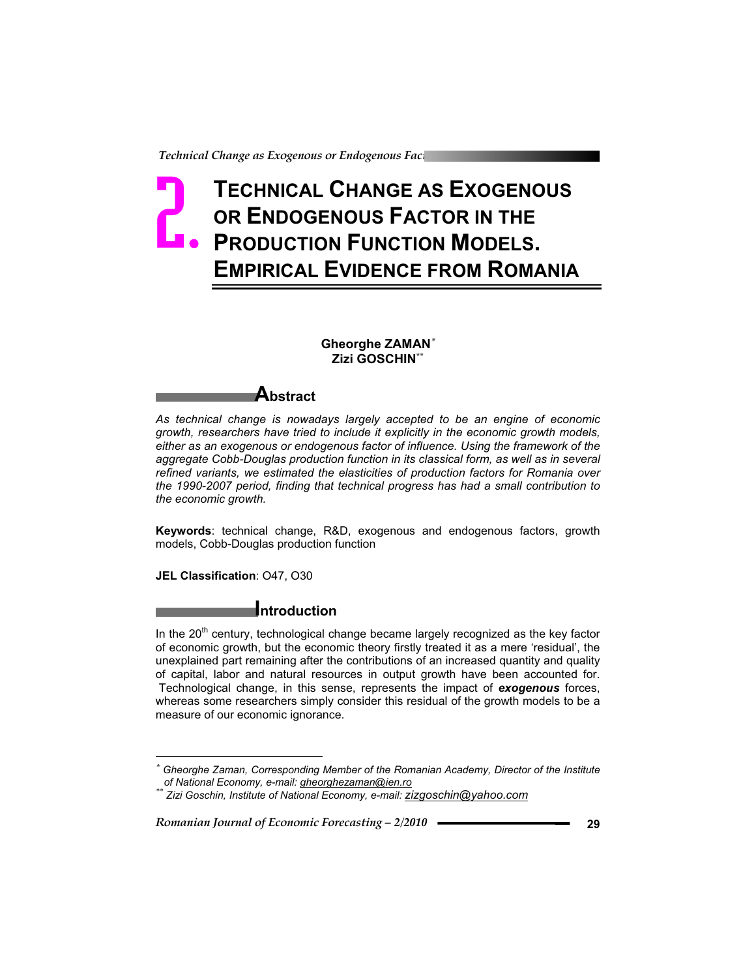# **TECHNICAL CHANGE AS EXOGENOUS OR ENDOGENOUS FACTOR IN THE PRODUCTION FUNCTION MODELS. EMPIRICAL EVIDENCE FROM ROMANIA** Pechnical<br>**D**

#### **Gheorghe ZAMAN Zizi GOSCHIN\*\***

## **Abstract**

*As technical change is nowadays largely accepted to be an engine of economic growth, researchers have tried to include it explicitly in the economic growth models, either as an exogenous or endogenous factor of influence. Using the framework of the aggregate Cobb-Douglas production function in its classical form, as well as in several refined variants, we estimated the elasticities of production factors for Romania over the 1990-2007 period, finding that technical progress has had a small contribution to the economic growth.* 

**Keywords**: technical change, R&D, exogenous and endogenous factors, growth models, Cobb-Douglas production function

**JEL Classification**: O47, O30

## **Introduction**

In the  $20<sup>th</sup>$  century, technological change became largely recognized as the key factor of economic growth, but the economic theory firstly treated it as a mere 'residual', the unexplained part remaining after the contributions of an increased quantity and quality of capital, labor and natural resources in output growth have been accounted for. Technological change, in this sense, represents the impact of *exogenous* forces, whereas some researchers simply consider this residual of the growth models to be a measure of our economic ignorance.

  *Gheorghe Zaman, Corresponding Member of the Romanian Academy, Director of the Institute of National Economy, e-mail: gheorghezaman@ien.ro \*\* Zizi Goschin, Institute of National Economy, e-mail: zizgoschin@yahoo.com*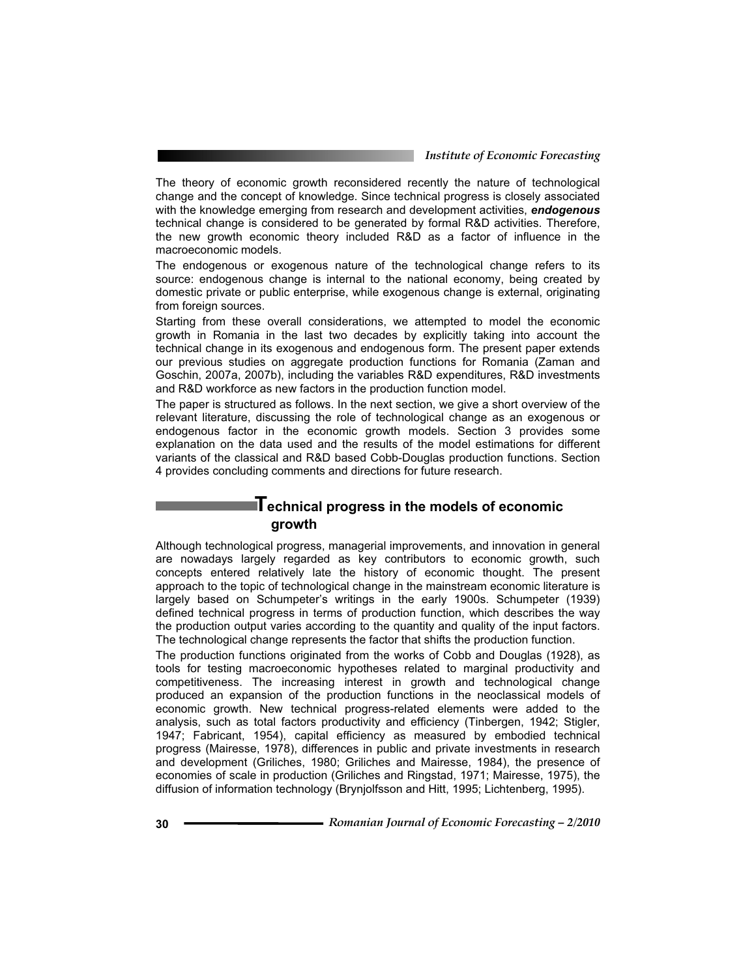*Institute of Economic Forecasting*

The theory of economic growth reconsidered recently the nature of technological change and the concept of knowledge. Since technical progress is closely associated with the knowledge emerging from research and development activities, *endogenous* technical change is considered to be generated by formal R&D activities. Therefore, the new growth economic theory included R&D as a factor of influence in the macroeconomic models.

The endogenous or exogenous nature of the technological change refers to its source: endogenous change is internal to the national economy, being created by domestic private or public enterprise, while exogenous change is external, originating from foreign sources.

Starting from these overall considerations, we attempted to model the economic growth in Romania in the last two decades by explicitly taking into account the technical change in its exogenous and endogenous form. The present paper extends our previous studies on aggregate production functions for Romania (Zaman and Goschin, 2007a, 2007b), including the variables R&D expenditures, R&D investments and R&D workforce as new factors in the production function model.

The paper is structured as follows. In the next section, we give a short overview of the relevant literature, discussing the role of technological change as an exogenous or endogenous factor in the economic growth models. Section 3 provides some explanation on the data used and the results of the model estimations for different variants of the classical and R&D based Cobb-Douglas production functions. Section 4 provides concluding comments and directions for future research.

## **Technical progress in the models of economic growth**

Although technological progress, managerial improvements, and innovation in general are nowadays largely regarded as key contributors to economic growth, such concepts entered relatively late the history of economic thought. The present approach to the topic of technological change in the mainstream economic literature is largely based on Schumpeter's writings in the early 1900s. Schumpeter (1939) defined technical progress in terms of production function, which describes the way the production output varies according to the quantity and quality of the input factors. The technological change represents the factor that shifts the production function.

The production functions originated from the works of Cobb and Douglas (1928), as tools for testing macroeconomic hypotheses related to marginal productivity and competitiveness. The increasing interest in growth and technological change produced an expansion of the production functions in the neoclassical models of economic growth. New technical progress-related elements were added to the analysis, such as total factors productivity and efficiency (Tinbergen, 1942; Stigler, 1947; Fabricant, 1954), capital efficiency as measured by embodied technical progress (Mairesse, 1978), differences in public and private investments in research and development (Griliches, 1980; Griliches and Mairesse, 1984), the presence of economies of scale in production (Griliches and Ringstad, 1971; Mairesse, 1975), the diffusion of information technology (Brynjolfsson and Hitt, 1995; Lichtenberg, 1995).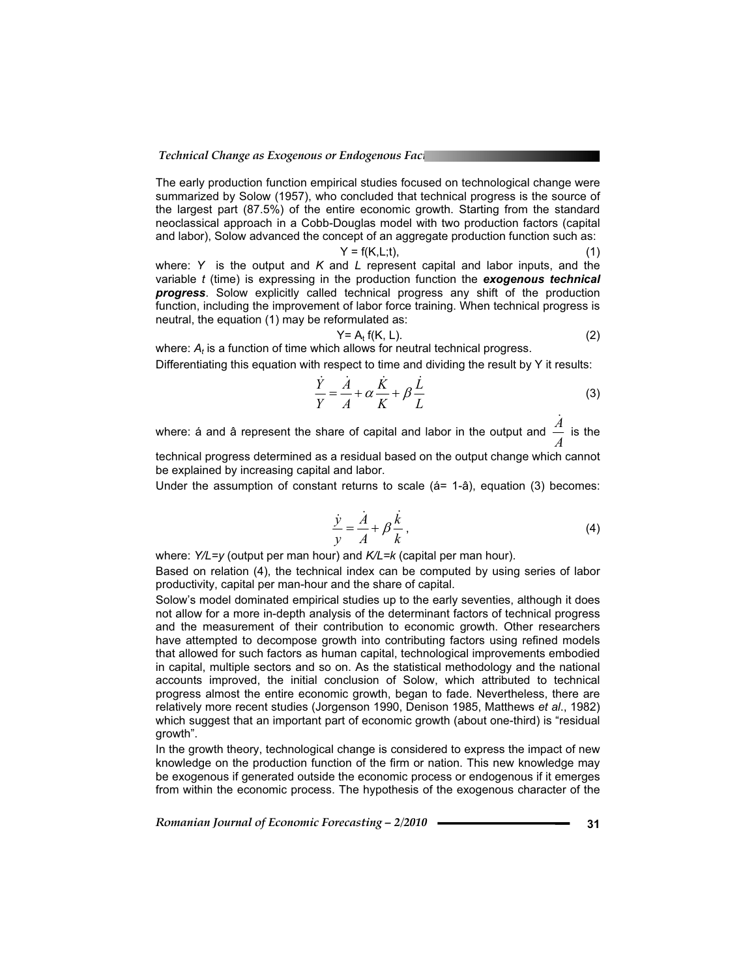The early production function empirical studies focused on technological change were summarized by Solow (1957), who concluded that technical progress is the source of the largest part (87.5%) of the entire economic growth. Starting from the standard neoclassical approach in a Cobb-Douglas model with two production factors (capital and labor), Solow advanced the concept of an aggregate production function such as:

$$
Y = f(K, L; t), \tag{1}
$$

where: *Y* is the output and *K* and *L* represent capital and labor inputs, and the variable *t* (time) is expressing in the production function the *exogenous technical progress*. Solow explicitly called technical progress any shift of the production function, including the improvement of labor force training. When technical progress is neutral, the equation (1) may be reformulated as:

$$
Y = A_t f(K, L). \tag{2}
$$

where:  $A_t$  is a function of time which allows for neutral technical progress. Differentiating this equation with respect to time and dividing the result by Y it results:

$$
\frac{\dot{Y}}{Y} = \frac{\dot{A}}{A} + \alpha \frac{\dot{K}}{K} + \beta \frac{\dot{L}}{L}
$$
 (3)

where: á and â represent the share of capital and labor in the output and  $\frac{\dot{A}}{A}$  is the technical progress determined as a residual based on the output change which cannot

be explained by increasing capital and labor.

Under the assumption of constant returns to scale  $(4= 1-2a)$ , equation  $(3)$  becomes:

$$
\frac{\dot{y}}{y} = \frac{\dot{A}}{A} + \beta \frac{\dot{k}}{k},\tag{4}
$$

where: *Y/L=y* (output per man hour) and *K/L=k* (capital per man hour).

Based on relation (4), the technical index can be computed by using series of labor productivity, capital per man-hour and the share of capital.

Solow's model dominated empirical studies up to the early seventies, although it does not allow for a more in-depth analysis of the determinant factors of technical progress and the measurement of their contribution to economic growth. Other researchers have attempted to decompose growth into contributing factors using refined models that allowed for such factors as human capital, technological improvements embodied in capital, multiple sectors and so on. As the statistical methodology and the national accounts improved, the initial conclusion of Solow, which attributed to technical progress almost the entire economic growth, began to fade. Nevertheless, there are relatively more recent studies (Jorgenson 1990, Denison 1985, Matthews *et al*., 1982) which suggest that an important part of economic growth (about one-third) is "residual growth".

In the growth theory, technological change is considered to express the impact of new knowledge on the production function of the firm or nation. This new knowledge may be exogenous if generated outside the economic process or endogenous if it emerges from within the economic process. The hypothesis of the exogenous character of the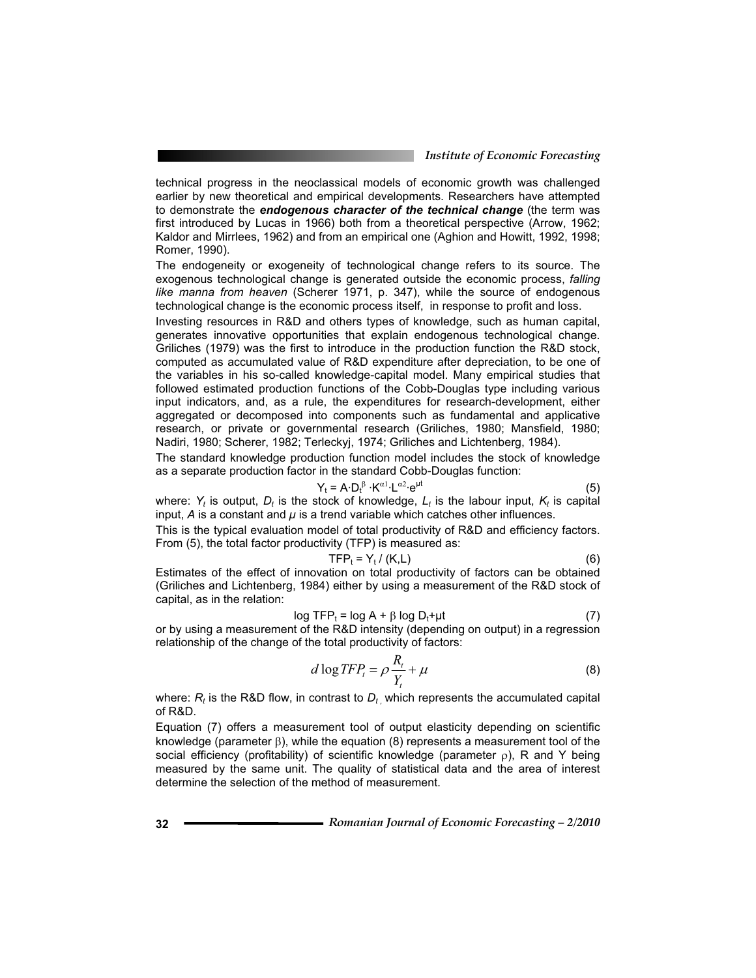technical progress in the neoclassical models of economic growth was challenged earlier by new theoretical and empirical developments. Researchers have attempted to demonstrate the *endogenous character of the technical change* (the term was first introduced by Lucas in 1966) both from a theoretical perspective (Arrow, 1962; Kaldor and Mirrlees, 1962) and from an empirical one (Aghion and Howitt, 1992, 1998; Romer, 1990).

The endogeneity or exogeneity of technological change refers to its source. The exogenous technological change is generated outside the economic process, *falling like manna from heaven* (Scherer 1971, p. 347), while the source of endogenous technological change is the economic process itself, in response to profit and loss.

Investing resources in R&D and others types of knowledge, such as human capital, generates innovative opportunities that explain endogenous technological change. Griliches (1979) was the first to introduce in the production function the R&D stock, computed as accumulated value of R&D expenditure after depreciation, to be one of the variables in his so-called knowledge-capital model. Many empirical studies that followed estimated production functions of the Cobb-Douglas type including various input indicators, and, as a rule, the expenditures for research-development, either aggregated or decomposed into components such as fundamental and applicative research, or private or governmental research (Griliches, 1980; Mansfield, 1980; Nadiri, 1980; Scherer, 1982; Terleckyj, 1974; Griliches and Lichtenberg, 1984).

The standard knowledge production function model includes the stock of knowledge as a separate production factor in the standard Cobb-Douglas function:

$$
Y_t = A \cdot D_t^{\beta} \cdot K^{\alpha 1} \cdot L^{\alpha 2} \cdot e^{\mu t}
$$
 (5)

where:  $Y_t$  is output,  $D_t$  is the stock of knowledge,  $L_t$  is the labour input,  $K_t$  is capital input, *A* is a constant and *µ* is a trend variable which catches other influences.

This is the typical evaluation model of total productivity of R&D and efficiency factors. From (5), the total factor productivity (TFP) is measured as:

$$
\mathsf{TFP}_{t} = \mathsf{Y}_{t} / (\mathsf{K}, \mathsf{L}) \tag{6}
$$

Estimates of the effect of innovation on total productivity of factors can be obtained (Griliches and Lichtenberg, 1984) either by using a measurement of the R&D stock of capital, as in the relation:

$$
\log \text{TFP}_t = \log A + \beta \log D_t + \mu t \tag{7}
$$

or by using a measurement of the R&D intensity (depending on output) in a regression relationship of the change of the total productivity of factors:

$$
d \log TFP_t = \rho \frac{R_t}{Y_t} + \mu \tag{8}
$$

where:  $R_t$  is the R&D flow, in contrast to  $D_t$  which represents the accumulated capital of R&D.

Equation (7) offers a measurement tool of output elasticity depending on scientific knowledge (parameter  $\beta$ ), while the equation (8) represents a measurement tool of the social efficiency (profitability) of scientific knowledge (parameter  $\rho$ ), R and Y being measured by the same unit. The quality of statistical data and the area of interest determine the selection of the method of measurement.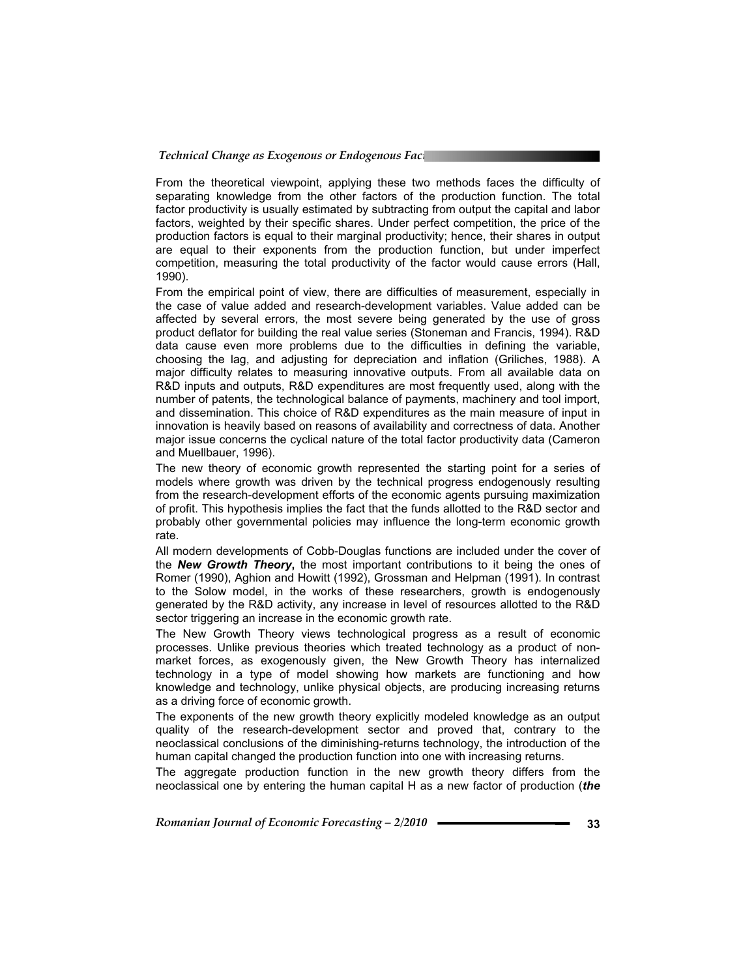From the theoretical viewpoint, applying these two methods faces the difficulty of separating knowledge from the other factors of the production function. The total factor productivity is usually estimated by subtracting from output the capital and labor factors, weighted by their specific shares. Under perfect competition, the price of the production factors is equal to their marginal productivity; hence, their shares in output are equal to their exponents from the production function, but under imperfect competition, measuring the total productivity of the factor would cause errors (Hall, 1990).

From the empirical point of view, there are difficulties of measurement, especially in the case of value added and research-development variables. Value added can be affected by several errors, the most severe being generated by the use of gross product deflator for building the real value series (Stoneman and Francis, 1994). R&D data cause even more problems due to the difficulties in defining the variable, choosing the lag, and adjusting for depreciation and inflation (Griliches, 1988). A major difficulty relates to measuring innovative outputs. From all available data on R&D inputs and outputs, R&D expenditures are most frequently used, along with the number of patents, the technological balance of payments, machinery and tool import, and dissemination. This choice of R&D expenditures as the main measure of input in innovation is heavily based on reasons of availability and correctness of data. Another major issue concerns the cyclical nature of the total factor productivity data (Cameron and Muellbauer, 1996).

The new theory of economic growth represented the starting point for a series of models where growth was driven by the technical progress endogenously resulting from the research-development efforts of the economic agents pursuing maximization of profit. This hypothesis implies the fact that the funds allotted to the R&D sector and probably other governmental policies may influence the long-term economic growth rate.

All modern developments of Cobb-Douglas functions are included under the cover of the *New Growth Theory***,** the most important contributions to it being the ones of Romer (1990), Aghion and Howitt (1992), Grossman and Helpman (1991). In contrast to the Solow model, in the works of these researchers, growth is endogenously generated by the R&D activity, any increase in level of resources allotted to the R&D sector triggering an increase in the economic growth rate.

The New Growth Theory views technological progress as a result of economic processes. Unlike previous theories which treated technology as a product of nonmarket forces, as exogenously given, the New Growth Theory has internalized technology in a type of model showing how markets are functioning and how knowledge and technology, unlike physical objects, are producing increasing returns as a driving force of economic growth.

The exponents of the new growth theory explicitly modeled knowledge as an output quality of the research-development sector and proved that, contrary to the neoclassical conclusions of the diminishing-returns technology, the introduction of the human capital changed the production function into one with increasing returns.

The aggregate production function in the new growth theory differs from the neoclassical one by entering the human capital H as a new factor of production (*the*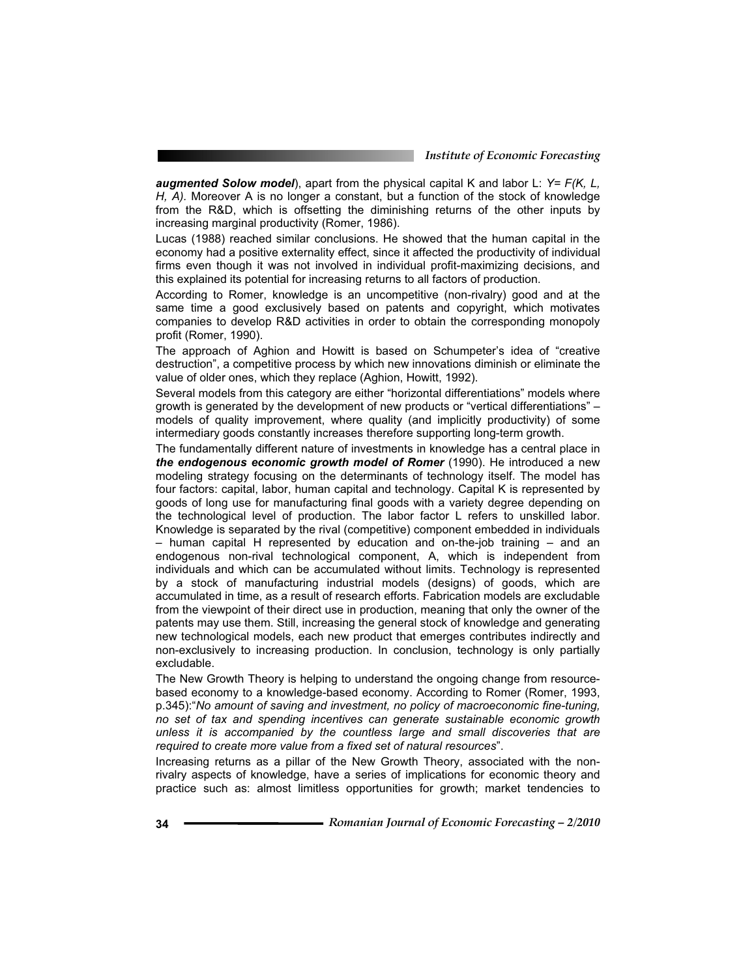*augmented Solow model*), apart from the physical capital K and labor L: *Y= F(K, L, H, A).* Moreover A is no longer a constant, but a function of the stock of knowledge from the R&D, which is offsetting the diminishing returns of the other inputs by increasing marginal productivity (Romer, 1986).

Lucas (1988) reached similar conclusions. He showed that the human capital in the economy had a positive externality effect, since it affected the productivity of individual firms even though it was not involved in individual profit-maximizing decisions, and this explained its potential for increasing returns to all factors of production.

According to Romer, knowledge is an uncompetitive (non-rivalry) good and at the same time a good exclusively based on patents and copyright, which motivates companies to develop R&D activities in order to obtain the corresponding monopoly profit (Romer, 1990).

The approach of Aghion and Howitt is based on Schumpeter's idea of "creative destruction", a competitive process by which new innovations diminish or eliminate the value of older ones, which they replace (Aghion, Howitt, 1992).

Several models from this category are either "horizontal differentiations" models where growth is generated by the development of new products or "vertical differentiations" – models of quality improvement, where quality (and implicitly productivity) of some intermediary goods constantly increases therefore supporting long-term growth.

The fundamentally different nature of investments in knowledge has a central place in *the endogenous economic growth model of Romer* (1990). He introduced a new modeling strategy focusing on the determinants of technology itself. The model has four factors: capital, labor, human capital and technology. Capital K is represented by goods of long use for manufacturing final goods with a variety degree depending on the technological level of production. The labor factor L refers to unskilled labor. Knowledge is separated by the rival (competitive) component embedded in individuals – human capital H represented by education and on-the-job training – and an endogenous non-rival technological component, A, which is independent from individuals and which can be accumulated without limits. Technology is represented by a stock of manufacturing industrial models (designs) of goods, which are accumulated in time, as a result of research efforts. Fabrication models are excludable from the viewpoint of their direct use in production, meaning that only the owner of the patents may use them. Still, increasing the general stock of knowledge and generating new technological models, each new product that emerges contributes indirectly and non-exclusively to increasing production. In conclusion, technology is only partially excludable.

The New Growth Theory is helping to understand the ongoing change from resourcebased economy to a knowledge-based economy. According to Romer (Romer, 1993, p.345):"*No amount of saving and investment, no policy of macroeconomic fine-tuning, no set of tax and spending incentives can generate sustainable economic growth unless it is accompanied by the countless large and small discoveries that are required to create more value from a fixed set of natural resources*".

Increasing returns as a pillar of the New Growth Theory, associated with the nonrivalry aspects of knowledge, have a series of implications for economic theory and practice such as: almost limitless opportunities for growth; market tendencies to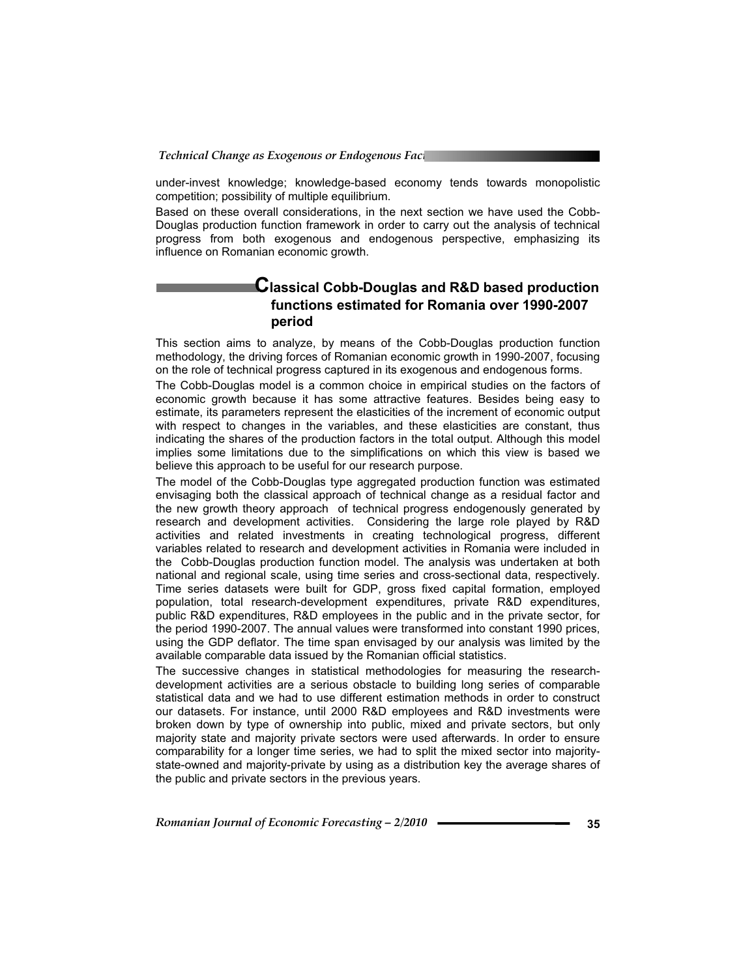under-invest knowledge; knowledge-based economy tends towards monopolistic competition; possibility of multiple equilibrium.

Based on these overall considerations, in the next section we have used the Cobb-Douglas production function framework in order to carry out the analysis of technical progress from both exogenous and endogenous perspective, emphasizing its influence on Romanian economic growth.

## **Classical Cobb-Douglas and R&D based production functions estimated for Romania over 1990-2007 period**

This section aims to analyze, by means of the Cobb-Douglas production function methodology, the driving forces of Romanian economic growth in 1990-2007, focusing on the role of technical progress captured in its exogenous and endogenous forms.

The Cobb-Douglas model is a common choice in empirical studies on the factors of economic growth because it has some attractive features. Besides being easy to estimate, its parameters represent the elasticities of the increment of economic output with respect to changes in the variables, and these elasticities are constant, thus indicating the shares of the production factors in the total output. Although this model implies some limitations due to the simplifications on which this view is based we believe this approach to be useful for our research purpose.

The model of the Cobb-Douglas type aggregated production function was estimated envisaging both the classical approach of technical change as a residual factor and the new growth theory approach of technical progress endogenously generated by research and development activities. Considering the large role played by R&D activities and related investments in creating technological progress, different variables related to research and development activities in Romania were included in the Cobb-Douglas production function model. The analysis was undertaken at both national and regional scale, using time series and cross-sectional data, respectively. Time series datasets were built for GDP, gross fixed capital formation, employed population, total research-development expenditures, private R&D expenditures, public R&D expenditures, R&D employees in the public and in the private sector, for the period 1990-2007. The annual values were transformed into constant 1990 prices, using the GDP deflator. The time span envisaged by our analysis was limited by the available comparable data issued by the Romanian official statistics.

The successive changes in statistical methodologies for measuring the researchdevelopment activities are a serious obstacle to building long series of comparable statistical data and we had to use different estimation methods in order to construct our datasets. For instance, until 2000 R&D employees and R&D investments were broken down by type of ownership into public, mixed and private sectors, but only majority state and majority private sectors were used afterwards. In order to ensure comparability for a longer time series, we had to split the mixed sector into majoritystate-owned and majority-private by using as a distribution key the average shares of the public and private sectors in the previous years.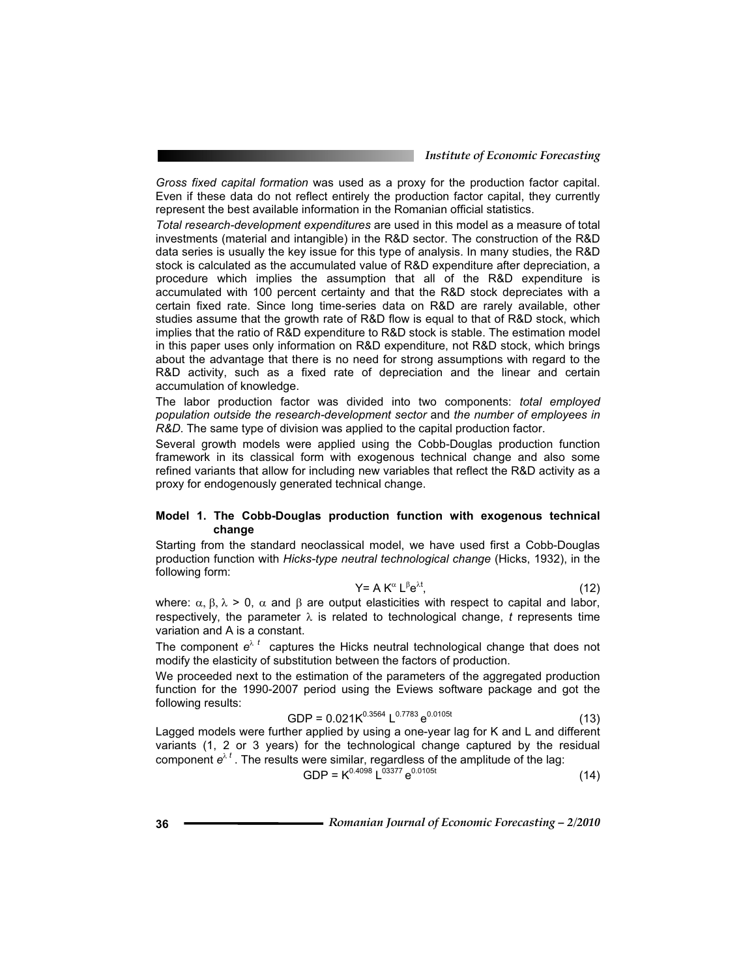*Gross fixed capital formation* was used as a proxy for the production factor capital. Even if these data do not reflect entirely the production factor capital, they currently represent the best available information in the Romanian official statistics.

*Total research-development expenditures* are used in this model as a measure of total investments (material and intangible) in the R&D sector. The construction of the R&D data series is usually the key issue for this type of analysis. In many studies, the R&D stock is calculated as the accumulated value of R&D expenditure after depreciation, a procedure which implies the assumption that all of the R&D expenditure is accumulated with 100 percent certainty and that the R&D stock depreciates with a certain fixed rate. Since long time-series data on R&D are rarely available, other studies assume that the growth rate of R&D flow is equal to that of R&D stock, which implies that the ratio of R&D expenditure to R&D stock is stable. The estimation model in this paper uses only information on R&D expenditure, not R&D stock, which brings about the advantage that there is no need for strong assumptions with regard to the R&D activity, such as a fixed rate of depreciation and the linear and certain accumulation of knowledge.

The labor production factor was divided into two components: *total employed population outside the research-development sector* and *the number of employees in R&D*. The same type of division was applied to the capital production factor.

Several growth models were applied using the Cobb-Douglas production function framework in its classical form with exogenous technical change and also some refined variants that allow for including new variables that reflect the R&D activity as a proxy for endogenously generated technical change.

#### **Model 1. The Cobb-Douglas production function with exogenous technical change**

Starting from the standard neoclassical model, we have used first a Cobb-Douglas production function with *Hicks-type neutral technological change* (Hicks, 1932), in the following form:

$$
Y = A K^{\alpha} L^{\beta} e^{\lambda t}, \qquad (12)
$$

where:  $\alpha$ ,  $\beta$ ,  $\lambda$  > 0,  $\alpha$  and  $\beta$  are output elasticities with respect to capital and labor, respectively, the parameter  $\lambda$  is related to technological change, *t* represents time variation and A is a constant.

The component  $e^{\lambda t}$  captures the Hicks neutral technological change that does not modify the elasticity of substitution between the factors of production.

We proceeded next to the estimation of the parameters of the aggregated production function for the 1990-2007 period using the Eviews software package and got the following results:

GDP = 
$$
0.021 \text{K}^{0.3564} \text{L}^{0.7783} \text{e}^{0.0105t}
$$
 (13)

Lagged models were further applied by using a one-year lag for K and L and different variants (1, 2 or 3 years) for the technological change captured by the residual component  $e^{\lambda t}$  . The results were similar, regardless of the amplitude of the lag:

 $GDP = K^{0.4098} L^{03377} e^{0.0105t}$  (14)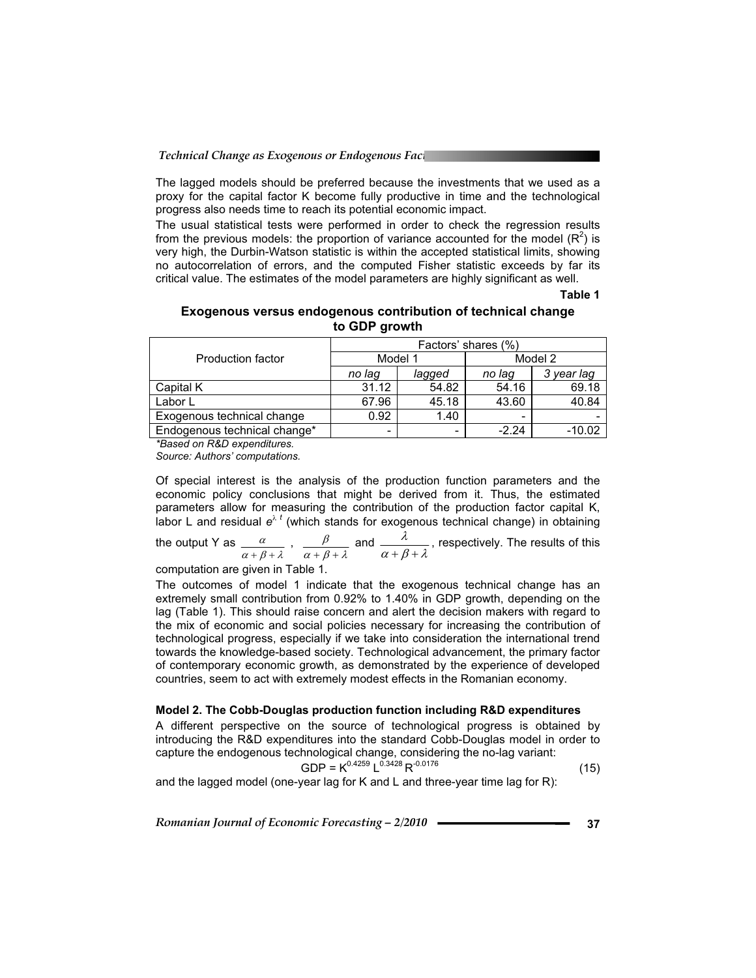The lagged models should be preferred because the investments that we used as a proxy for the capital factor K become fully productive in time and the technological progress also needs time to reach its potential economic impact.

The usual statistical tests were performed in order to check the regression results from the previous models: the proportion of variance accounted for the model  $(\mathsf{R}^2)$  is very high, the Durbin-Watson statistic is within the accepted statistical limits, showing no autocorrelation of errors, and the computed Fisher statistic exceeds by far its critical value. The estimates of the model parameters are highly significant as well.

**Table 1**

#### **Exogenous versus endogenous contribution of technical change to GDP growth**

|                              | Factors' shares (%) |        |         |            |
|------------------------------|---------------------|--------|---------|------------|
| <b>Production factor</b>     | Model 1             |        | Model 2 |            |
|                              | no lag              | lagged | no lag  | 3 year lag |
| Capital K                    | 31.12               | 54.82  | 54.16   | 69.18      |
| Labor L                      | 67.96               | 45.18  | 43.60   | 40.84      |
| Exogenous technical change   | 0.92                | 1.40   |         |            |
| Endogenous technical change* | -                   | ۰      | $-2.24$ | -10.02     |

*\*Based on R&D expenditures.* 

*Source: Authors' computations.* 

Of special interest is the analysis of the production function parameters and the economic policy conclusions that might be derived from it. Thus, the estimated parameters allow for measuring the contribution of the production factor capital K, labor L and residual  $e^{\lambda t}$  (which stands for exogenous technical change) in obtaining

the output Y as 
$$
\frac{\alpha}{\alpha + \beta + \lambda}
$$
,  $\frac{\beta}{\alpha + \beta + \lambda}$  and  $\frac{\lambda}{\alpha + \beta + \lambda}$ , respectively. The results of this

computation are given in Table 1.

The outcomes of model 1 indicate that the exogenous technical change has an extremely small contribution from 0.92% to 1.40% in GDP growth, depending on the lag (Table 1). This should raise concern and alert the decision makers with regard to the mix of economic and social policies necessary for increasing the contribution of technological progress, especially if we take into consideration the international trend towards the knowledge-based society. Technological advancement, the primary factor of contemporary economic growth, as demonstrated by the experience of developed countries, seem to act with extremely modest effects in the Romanian economy.

#### **Model 2. The Cobb-Douglas production function including R&D expenditures**

A different perspective on the source of technological progress is obtained by introducing the R&D expenditures into the standard Cobb-Douglas model in order to capture the endogenous technological change, considering the no-lag variant:

$$
GDP = K^{0.4259} L^{0.3428} R^{-0.0176}
$$
 (15)

and the lagged model (one-year lag for K and L and three-year time lag for R):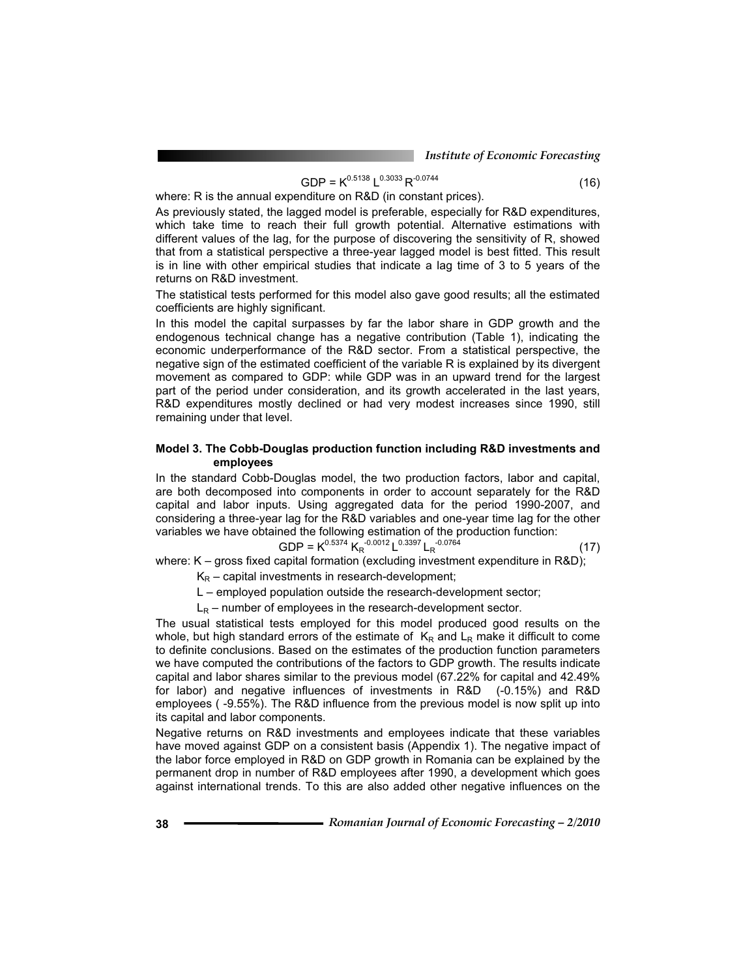$$
GDP = K^{0.5138} L^{0.3033} R^{-0.0744}
$$
 (16)

where: R is the annual expenditure on R&D (in constant prices).

As previously stated, the lagged model is preferable, especially for R&D expenditures, which take time to reach their full growth potential. Alternative estimations with different values of the lag, for the purpose of discovering the sensitivity of R, showed that from a statistical perspective a three-year lagged model is best fitted. This result is in line with other empirical studies that indicate a lag time of 3 to 5 years of the returns on R&D investment.

The statistical tests performed for this model also gave good results; all the estimated coefficients are highly significant.

In this model the capital surpasses by far the labor share in GDP growth and the endogenous technical change has a negative contribution (Table 1), indicating the economic underperformance of the R&D sector. From a statistical perspective, the negative sign of the estimated coefficient of the variable R is explained by its divergent movement as compared to GDP: while GDP was in an upward trend for the largest part of the period under consideration, and its growth accelerated in the last years, R&D expenditures mostly declined or had very modest increases since 1990, still remaining under that level.

#### **Model 3. The Cobb-Douglas production function including R&D investments and employees**

In the standard Cobb-Douglas model, the two production factors, labor and capital, are both decomposed into components in order to account separately for the R&D capital and labor inputs. Using aggregated data for the period 1990-2007, and considering a three-year lag for the R&D variables and one-year time lag for the other variables we have obtained the following estimation of the production function:

GDP = 
$$
K^{0.5374}
$$
  $K_R^{-0.0012}$  L<sup>0.3397</sup> L<sub>R</sub><sup>-0.0764</sup> (17)

where: K – gross fixed capital formation (excluding investment expenditure in R&D);

 $K_R$  – capital investments in research-development;

L – employed population outside the research-development sector;

 $L_R$  – number of employees in the research-development sector.

The usual statistical tests employed for this model produced good results on the whole, but high standard errors of the estimate of  $K_R$  and  $L_R$  make it difficult to come to definite conclusions. Based on the estimates of the production function parameters we have computed the contributions of the factors to GDP growth. The results indicate capital and labor shares similar to the previous model (67.22% for capital and 42.49% for labor) and negative influences of investments in R&D (-0.15%) and R&D employees ( -9.55%). The R&D influence from the previous model is now split up into its capital and labor components.

Negative returns on R&D investments and employees indicate that these variables have moved against GDP on a consistent basis (Appendix 1). The negative impact of the labor force employed in R&D on GDP growth in Romania can be explained by the permanent drop in number of R&D employees after 1990, a development which goes against international trends. To this are also added other negative influences on the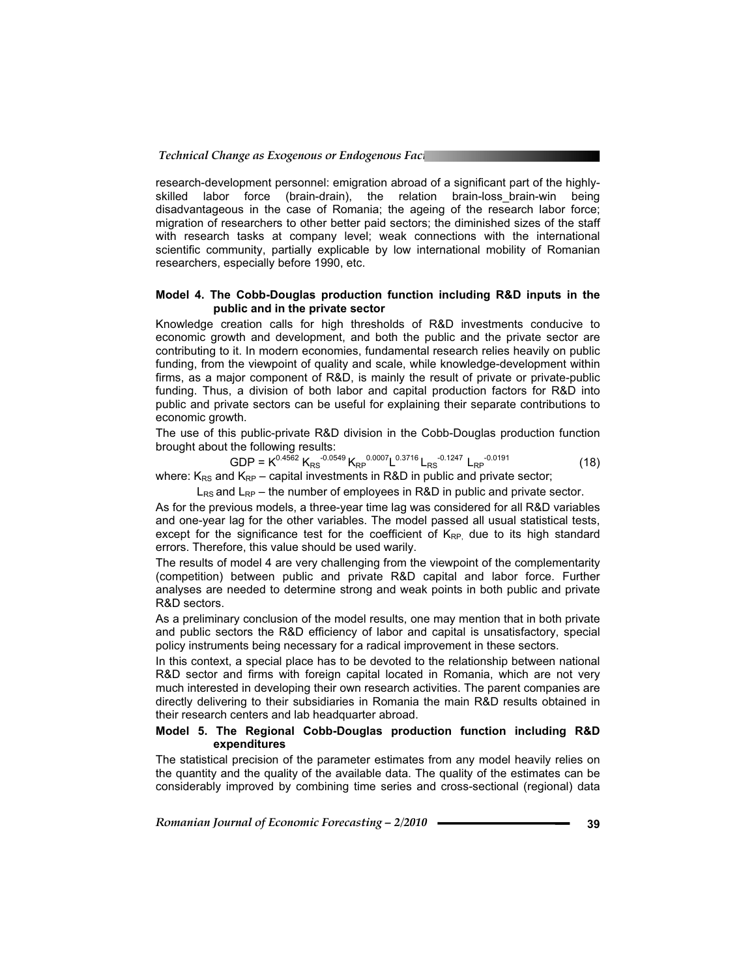research-development personnel: emigration abroad of a significant part of the highlyskilled labor force (brain-drain), the relation brain-loss\_brain-win being disadvantageous in the case of Romania; the ageing of the research labor force; migration of researchers to other better paid sectors; the diminished sizes of the staff with research tasks at company level; weak connections with the international scientific community, partially explicable by low international mobility of Romanian researchers, especially before 1990, etc.

#### **Model 4. The Cobb-Douglas production function including R&D inputs in the public and in the private sector**

Knowledge creation calls for high thresholds of R&D investments conducive to economic growth and development, and both the public and the private sector are contributing to it. In modern economies, fundamental research relies heavily on public funding, from the viewpoint of quality and scale, while knowledge-development within firms, as a major component of R&D, is mainly the result of private or private-public funding. Thus, a division of both labor and capital production factors for R&D into public and private sectors can be useful for explaining their separate contributions to economic growth.

The use of this public-private R&D division in the Cobb-Douglas production function brought about the following results:

GDP = 
$$
K^{0.4562}
$$
 K<sub>RS</sub><sup>-0.0549</sup> K<sub>RP</sub><sup>0.0007</sup>L<sup>0.3716</sup> L<sub>RS</sub><sup>-0.1247</sup> L<sub>RP</sub><sup>-0.0191</sup> (18)

where:  $K_{RS}$  and  $K_{RP}$  – capital investments in R&D in public and private sector;

 $L_{RS}$  and  $L_{RP}$  – the number of employees in R&D in public and private sector.

As for the previous models, a three-year time lag was considered for all R&D variables and one-year lag for the other variables. The model passed all usual statistical tests, except for the significance test for the coefficient of  $K_{RP}$  due to its high standard errors. Therefore, this value should be used warily.

The results of model 4 are very challenging from the viewpoint of the complementarity (competition) between public and private R&D capital and labor force. Further analyses are needed to determine strong and weak points in both public and private R&D sectors.

As a preliminary conclusion of the model results, one may mention that in both private and public sectors the R&D efficiency of labor and capital is unsatisfactory, special policy instruments being necessary for a radical improvement in these sectors.

In this context, a special place has to be devoted to the relationship between national R&D sector and firms with foreign capital located in Romania, which are not very much interested in developing their own research activities. The parent companies are directly delivering to their subsidiaries in Romania the main R&D results obtained in their research centers and lab headquarter abroad.

#### **Model 5. The Regional Cobb-Douglas production function including R&D expenditures**

The statistical precision of the parameter estimates from any model heavily relies on the quantity and the quality of the available data. The quality of the estimates can be considerably improved by combining time series and cross-sectional (regional) data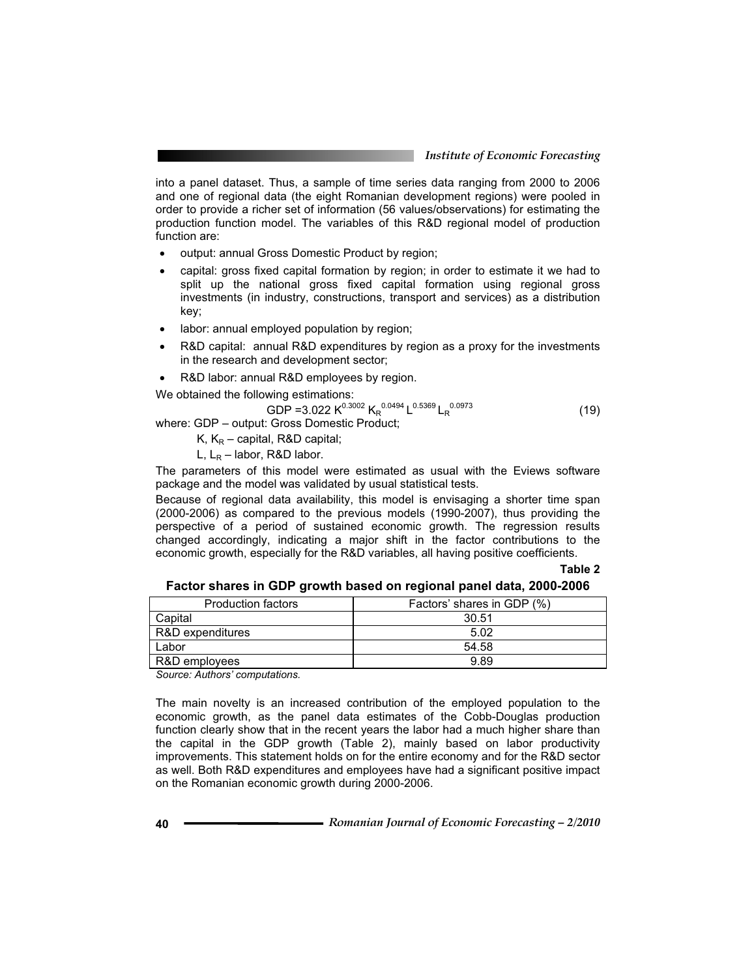into a panel dataset. Thus, a sample of time series data ranging from 2000 to 2006 and one of regional data (the eight Romanian development regions) were pooled in order to provide a richer set of information (56 values/observations) for estimating the production function model. The variables of this R&D regional model of production function are:

- output: annual Gross Domestic Product by region;
- capital: gross fixed capital formation by region; in order to estimate it we had to split up the national gross fixed capital formation using regional gross investments (in industry, constructions, transport and services) as a distribution key;
- labor: annual employed population by region;
- R&D capital: annual R&D expenditures by region as a proxy for the investments in the research and development sector;
- R&D labor: annual R&D employees by region.

We obtained the following estimations:

 $GDP = 3.022 K^{0.3002} K_R^{0.0494} L^{0.5369} L_R^{0.0973}$  (19)

where: GDP – output: Gross Domestic Product;

K,  $K_R$  – capital, R&D capital;

L,  $L_R$  – labor, R&D labor.

The parameters of this model were estimated as usual with the Eviews software package and the model was validated by usual statistical tests.

Because of regional data availability, this model is envisaging a shorter time span (2000-2006) as compared to the previous models (1990-2007), thus providing the perspective of a period of sustained economic growth. The regression results changed accordingly, indicating a major shift in the factor contributions to the economic growth, especially for the R&D variables, all having positive coefficients.

**Table 2**

|  | Factor shares in GDP growth based on regional panel data, 2000-2006 |  |
|--|---------------------------------------------------------------------|--|
|  |                                                                     |  |

| <b>Production factors</b> | Factors' shares in GDP (%) |
|---------------------------|----------------------------|
| Capital                   | 30.51                      |
| R&D expenditures          | 5.02                       |
| Labor                     | 54.58                      |
| R&D employees             | 9.89                       |
| .<br>.                    |                            |

*Source: Authors' computations.* 

The main novelty is an increased contribution of the employed population to the economic growth, as the panel data estimates of the Cobb-Douglas production function clearly show that in the recent years the labor had a much higher share than the capital in the GDP growth (Table 2), mainly based on labor productivity improvements. This statement holds on for the entire economy and for the R&D sector as well. Both R&D expenditures and employees have had a significant positive impact on the Romanian economic growth during 2000-2006.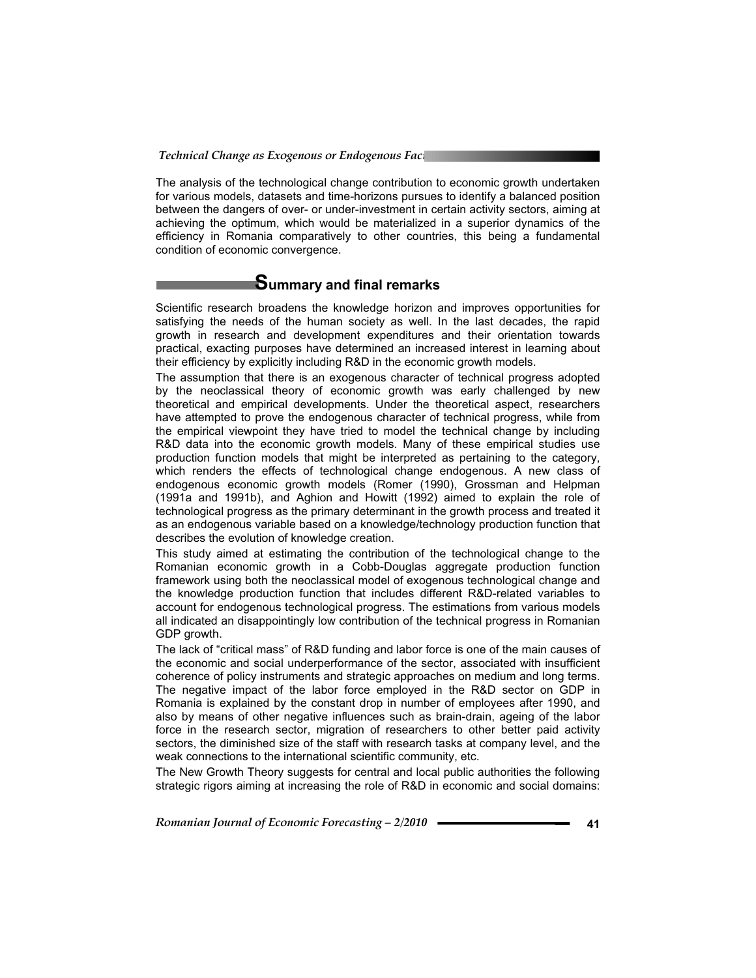The analysis of the technological change contribution to economic growth undertaken for various models, datasets and time-horizons pursues to identify a balanced position between the dangers of over- or under-investment in certain activity sectors, aiming at achieving the optimum, which would be materialized in a superior dynamics of the efficiency in Romania comparatively to other countries, this being a fundamental condition of economic convergence.

# **Summary and final remarks**

Scientific research broadens the knowledge horizon and improves opportunities for satisfying the needs of the human society as well. In the last decades, the rapid growth in research and development expenditures and their orientation towards practical, exacting purposes have determined an increased interest in learning about their efficiency by explicitly including R&D in the economic growth models.

The assumption that there is an exogenous character of technical progress adopted by the neoclassical theory of economic growth was early challenged by new theoretical and empirical developments. Under the theoretical aspect, researchers have attempted to prove the endogenous character of technical progress, while from the empirical viewpoint they have tried to model the technical change by including R&D data into the economic growth models. Many of these empirical studies use production function models that might be interpreted as pertaining to the category, which renders the effects of technological change endogenous. A new class of endogenous economic growth models (Romer (1990), Grossman and Helpman (1991a and 1991b), and Aghion and Howitt (1992) aimed to explain the role of technological progress as the primary determinant in the growth process and treated it as an endogenous variable based on a knowledge/technology production function that describes the evolution of knowledge creation.

This study aimed at estimating the contribution of the technological change to the Romanian economic growth in a Cobb-Douglas aggregate production function framework using both the neoclassical model of exogenous technological change and the knowledge production function that includes different R&D-related variables to account for endogenous technological progress. The estimations from various models all indicated an disappointingly low contribution of the technical progress in Romanian GDP growth.

The lack of "critical mass" of R&D funding and labor force is one of the main causes of the economic and social underperformance of the sector, associated with insufficient coherence of policy instruments and strategic approaches on medium and long terms. The negative impact of the labor force employed in the R&D sector on GDP in Romania is explained by the constant drop in number of employees after 1990, and also by means of other negative influences such as brain-drain, ageing of the labor force in the research sector, migration of researchers to other better paid activity sectors, the diminished size of the staff with research tasks at company level, and the weak connections to the international scientific community, etc.

The New Growth Theory suggests for central and local public authorities the following strategic rigors aiming at increasing the role of R&D in economic and social domains: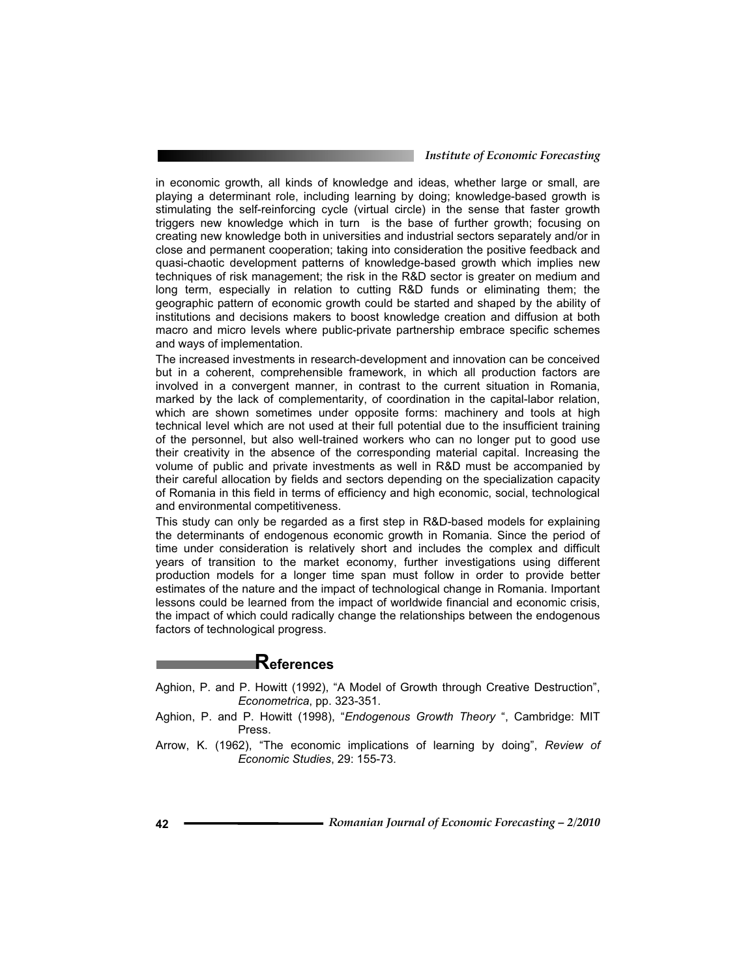*Institute of Economic Forecasting*

in economic growth, all kinds of knowledge and ideas, whether large or small, are playing a determinant role, including learning by doing; knowledge-based growth is stimulating the self-reinforcing cycle (virtual circle) in the sense that faster growth triggers new knowledge which in turn is the base of further growth; focusing on creating new knowledge both in universities and industrial sectors separately and/or in close and permanent cooperation; taking into consideration the positive feedback and quasi-chaotic development patterns of knowledge-based growth which implies new techniques of risk management; the risk in the R&D sector is greater on medium and long term, especially in relation to cutting R&D funds or eliminating them; the geographic pattern of economic growth could be started and shaped by the ability of institutions and decisions makers to boost knowledge creation and diffusion at both macro and micro levels where public-private partnership embrace specific schemes and ways of implementation.

The increased investments in research-development and innovation can be conceived but in a coherent, comprehensible framework, in which all production factors are involved in a convergent manner, in contrast to the current situation in Romania, marked by the lack of complementarity, of coordination in the capital-labor relation, which are shown sometimes under opposite forms: machinery and tools at high technical level which are not used at their full potential due to the insufficient training of the personnel, but also well-trained workers who can no longer put to good use their creativity in the absence of the corresponding material capital. Increasing the volume of public and private investments as well in R&D must be accompanied by their careful allocation by fields and sectors depending on the specialization capacity of Romania in this field in terms of efficiency and high economic, social, technological and environmental competitiveness.

This study can only be regarded as a first step in R&D-based models for explaining the determinants of endogenous economic growth in Romania. Since the period of time under consideration is relatively short and includes the complex and difficult years of transition to the market economy, further investigations using different production models for a longer time span must follow in order to provide better estimates of the nature and the impact of technological change in Romania. Important lessons could be learned from the impact of worldwide financial and economic crisis, the impact of which could radically change the relationships between the endogenous factors of technological progress.

## **References**

- Aghion, P. and P. Howitt (1992), "A Model of Growth through Creative Destruction", *Econometrica*, pp. 323-351.
- Aghion, P. and P. Howitt (1998), "*Endogenous Growth Theory* ", Cambridge: MIT Press.
- Arrow, K. (1962), "The economic implications of learning by doing", *Review of Economic Studies*, 29: 155-73.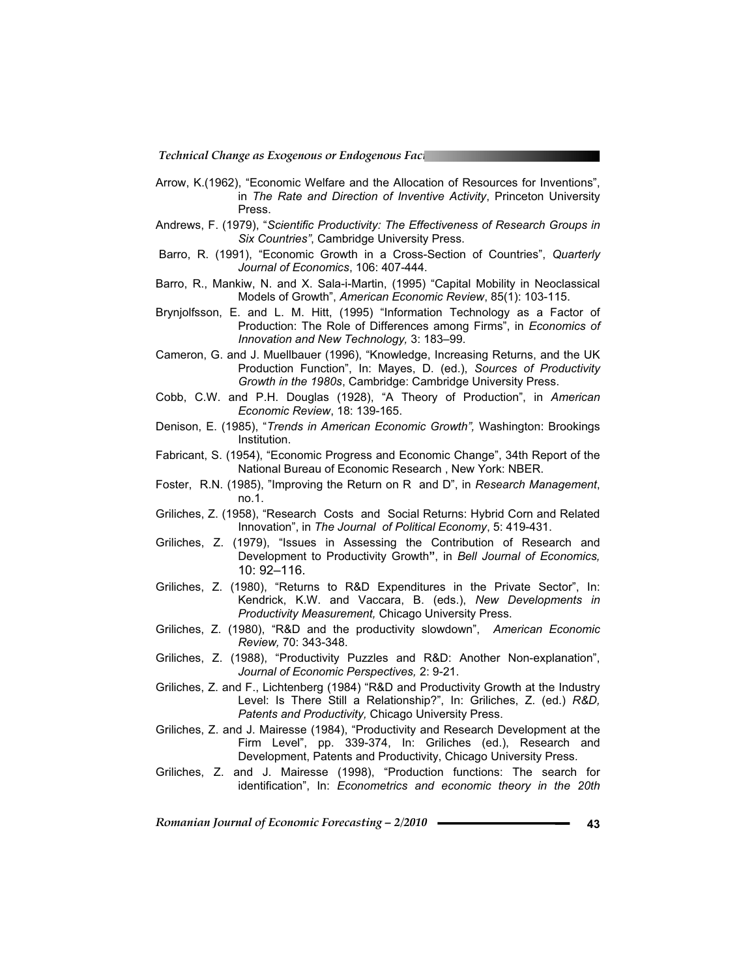*Technical Change as Exogenous or Endogenous Factors* 

- Arrow, K.(1962), "Economic Welfare and the Allocation of Resources for Inventions", in *The Rate and Direction of Inventive Activity*, Princeton University Press.
- Andrews, F. (1979), "*Scientific Productivity: The Effectiveness of Research Groups in Six Countries"*, Cambridge University Press.
- Barro, R. (1991), "Economic Growth in a Cross-Section of Countries", *Quarterly Journal of Economics*, 106: 407-444.
- Barro, R., Mankiw, N. and X. Sala-i-Martin, (1995) "Capital Mobility in Neoclassical Models of Growth", *American Economic Review*, 85(1): 103-115.
- Brynjolfsson, E. and L. M. Hitt, (1995) "Information Technology as a Factor of Production: The Role of Differences among Firms", in *Economics of Innovation and New Technology,* 3: 183–99.
- Cameron, G. and J. Muellbauer (1996), "Knowledge, Increasing Returns, and the UK Production Function", In: Mayes, D. (ed.), *Sources of Productivity Growth in the 1980s*, Cambridge: Cambridge University Press.
- Cobb, C.W. and P.H. Douglas (1928), "A Theory of Production", in *American Economic Review*, 18: 139-165.
- Denison, E. (1985), "*Trends in American Economic Growth",* Washington: Brookings Institution.
- Fabricant, S. (1954), "Economic Progress and Economic Change", 34th Report of the National Bureau of Economic Research , New York: NBER.
- Foster, R.N. (1985), "Improving the Return on R and D", in *Research Management*, no.1.
- Griliches, Z. (1958), "Research Costs and Social Returns: Hybrid Corn and Related Innovation", in *The Journal of Political Economy*, 5: 419-431.
- Griliches, Z. (1979), "Issues in Assessing the Contribution of Research and Development to Productivity Growth**"**, in *Bell Journal of Economics,*  10: 92–116.
- Griliches, Z. (1980), "Returns to R&D Expenditures in the Private Sector", In: Kendrick, K.W. and Vaccara, B. (eds.), *New Developments in Productivity Measurement,* Chicago University Press.
- Griliches, Z. (1980), "R&D and the productivity slowdown", *American Economic Review,* 70: 343-348.
- Griliches, Z. (1988), "Productivity Puzzles and R&D: Another Non-explanation", *Journal of Economic Perspectives,* 2: 9-21.
- Griliches, Z. and F., Lichtenberg (1984) "R&D and Productivity Growth at the Industry Level: Is There Still a Relationship?", In: Griliches, Z. (ed.) *R&D, Patents and Productivity,* Chicago University Press.
- Griliches, Z. and J. Mairesse (1984), "Productivity and Research Development at the Firm Level", pp. 339-374, In: Griliches (ed.), Research and Development, Patents and Productivity, Chicago University Press.
- Griliches, Z. and J. Mairesse (1998), "Production functions: The search for identification", In: *Econometrics and economic theory in the 20th*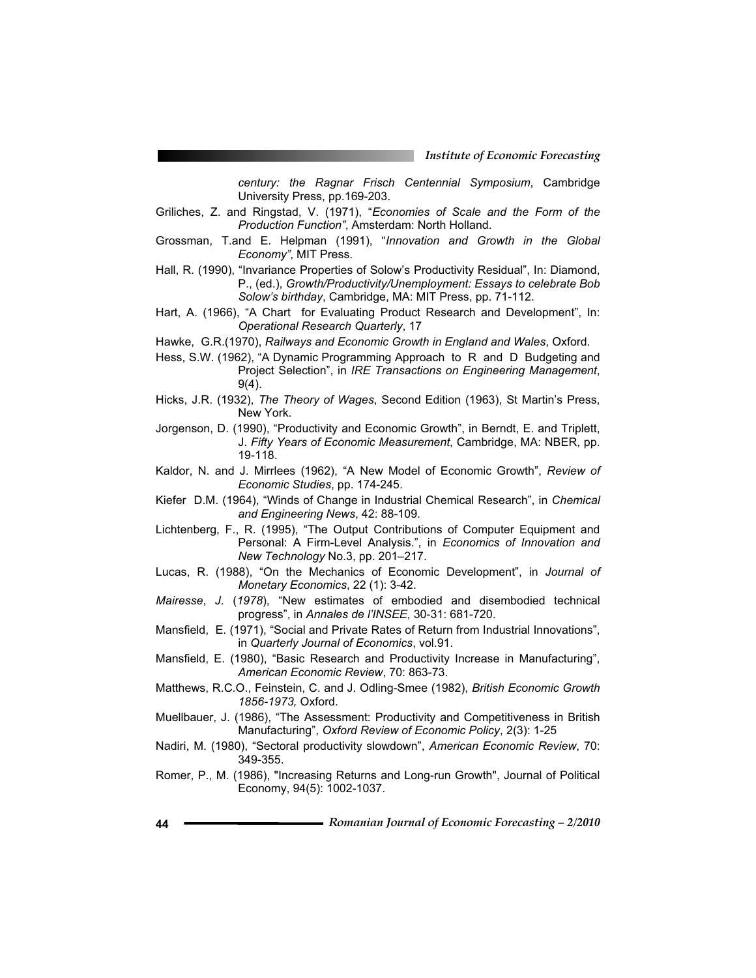*century: the Ragnar Frisch Centennial Symposium*, Cambridge University Press, pp.169-203.

- Griliches, Z. and Ringstad, V. (1971), "*Economies of Scale and the Form of the Production Function"*, Amsterdam: North Holland.
- Grossman, T.and E. Helpman (1991), "*Innovation and Growth in the Global Economy"*, MIT Press.
- Hall, R. (1990), "Invariance Properties of Solow's Productivity Residual", In: Diamond, P., (ed.), *Growth/Productivity/Unemployment: Essays to celebrate Bob Solow's birthday*, Cambridge, MA: MIT Press, pp. 71-112.
- Hart, A. (1966), "A Chart for Evaluating Product Research and Development", In: *Operational Research Quarterly*, 17
- Hawke, G.R.(1970), *Railways and Economic Growth in England and Wales*, Oxford.
- Hess, S.W. (1962), "A Dynamic Programming Approach to R and D Budgeting and Project Selection", in *IRE Transactions on Engineering Management*, 9(4).
- Hicks, J.R. (1932), *The Theory of Wages*, Second Edition (1963), St Martin's Press, New York.
- Jorgenson, D. (1990), "Productivity and Economic Growth", in Berndt, E. and Triplett, J. *Fifty Years of Economic Measurement*, Cambridge, MA: NBER, pp. 19-118.
- Kaldor, N. and J. Mirrlees (1962), "A New Model of Economic Growth", *Review of Economic Studies*, pp. 174-245.
- Kiefer D.M. (1964), "Winds of Change in Industrial Chemical Research", in *Chemical and Engineering News*, 42: 88-109.
- Lichtenberg, F., R. (1995), "The Output Contributions of Computer Equipment and Personal: A Firm-Level Analysis.", in *Economics of Innovation and New Technology* No.3, pp. 201–217.
- Lucas, R. (1988), "On the Mechanics of Economic Development", in *Journal of Monetary Economics*, 22 (1): 3-42.
- *Mairesse*, *J*. (*1978*), "New estimates of embodied and disembodied technical progress", in *Annales de l'INSEE*, 30-31: 681-720.
- Mansfield, E. (1971), "Social and Private Rates of Return from Industrial Innovations", in *Quarterly Journal of Economics*, vol.91.
- Mansfield, E. (1980), "Basic Research and Productivity Increase in Manufacturing", *American Economic Review*, 70: 863-73.
- Matthews, R.C.O., Feinstein, C. and J. Odling-Smee (1982), *British Economic Growth 1856-1973,* Oxford.
- Muellbauer, J. (1986), "The Assessment: Productivity and Competitiveness in British Manufacturing", *Oxford Review of Economic Policy*, 2(3): 1-25
- Nadiri, M. (1980), "Sectoral productivity slowdown", *American Economic Review*, 70: 349-355.
- Romer, P., M. (1986), "Increasing Returns and Long-run Growth", Journal of Political Economy, 94(5): 1002-1037.
- **44** *Romanian Journal of Economic Forecasting 2/2010*